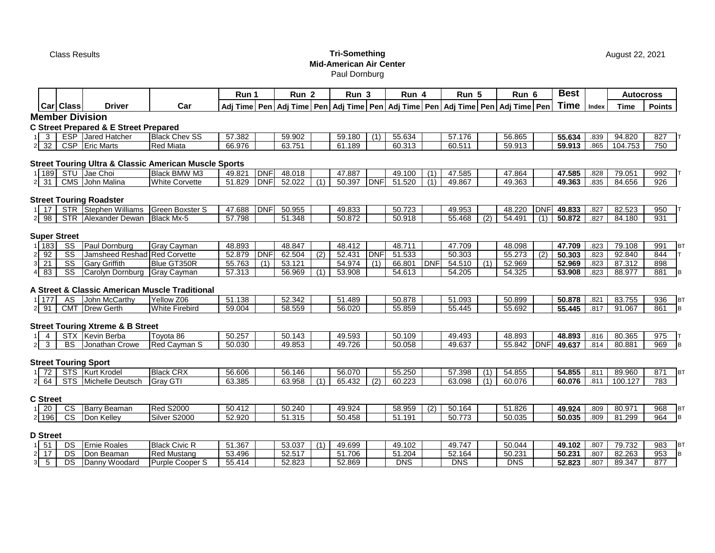## Class Results **Tri-Something Mid-American Air Center** Paul Dornburg

| Car<br>  Car   Class<br><b>Driver</b><br>Adj Time Pen   Adj Time   Pen   Adj Time   Pen   Adj Time   Pen   Adj Time   Pen<br>ESP Jared Hatcher<br><b>Black Chev SS</b><br>57.382<br>59.902<br>3 <sup>3</sup><br>59.180<br>(1)<br>55.634<br>57.176<br>CSP Eric Marts<br>63.751<br>66.976<br>61.189<br>60.313<br>60.511<br>2 3 2<br><b>Red Miata</b><br>1 189 STU Jae Choi<br><b>Black BMW M3</b><br><b>DNF</b><br>48.018<br>49.821<br>47.887<br>47.585<br>49.100<br>(1)<br><b>DNF</b><br>52.022<br>50.397<br><b>DNF</b><br>CMS John Malina<br>51.829<br>51.520<br>(1)<br>49.867<br>$2 \overline{31}$<br><b>White Corvette</b><br>(1)<br>STR Stephen Williams<br><b>Green Boxster S</b><br><b>DNF</b><br>50.955<br>47.688<br>49.833<br>50.723<br>49.953<br>$1 \mid 17 \mid$<br>Black Mx-5<br>$\frac{1}{57.798}$<br>51.348<br>50.872<br>50.918<br>55.468<br>2 98<br><b>STR</b> Alexander Dewan<br>(2)<br>SS<br>Paul Dornburg<br>1 183<br><b>Gray Cayman</b><br>48.893<br>48.847<br>48.412<br>48.711<br>47.709<br>$\overline{\text{SS}}$<br><b>DNF</b><br>62.504<br>DNF<br>92<br>Jamsheed Reshad Red Corvette<br>52.879<br>(2)<br>52.431<br>51.533<br>50.303<br>21<br>$\overline{\text{SS}}$<br>21<br><b>Gary Griffith</b><br>Blue GT350R<br>55.763<br>53.121<br>54.974<br>66.801<br><b>DNF</b><br>54.510<br>(1)<br>(1)<br>3 <sup>l</sup><br>(1)<br>$\overline{\text{SS}}$<br>$4 \overline{83}$<br>$\overline{57.313}$<br>Carolyn Dornburg<br>56.969<br>53.908<br>54.613<br>54.205<br><b>Gray Cayman</b><br>(1)<br>John McCarthy<br>Yellow Z06<br>51.138<br>52.342<br>1177<br>AS<br>51.489<br>50.878<br>51.093<br>58.559<br>$2 \overline{91}$<br><b>CMT Drew Gerth</b><br>59.004<br>56.020<br>55.859<br>55.445<br><b>White Firebird</b><br>STX Kevin Berba<br>Toyota 86<br>50.257<br>50.143<br>49.593<br>49.493<br>50.109<br>$2\overline{3}$<br>50.030<br>49.853<br>49.726<br>49.637<br>BS<br><b>Red Cayman S</b><br>50.058<br>Jonathan Crowe | Time<br>Adj Time Pen<br><b>Time</b><br>Index<br><b>Points</b><br>94.820<br>827<br>56.865<br>55.634<br>.839<br>104.753<br>59.913<br>59.913<br>.865<br>750<br>992<br>47.864<br>47.585<br>.828<br>79.051<br>.835<br>84.656<br>926<br>49.363<br>49.363<br>49.833<br>82.523<br>48.220<br><b>DNF</b><br>.827<br>950<br>50.872<br>.827<br>84.180<br>931<br>54.491<br>(1)<br>48.098<br>79.108<br>991<br>47.709<br>.823<br>55.273<br>92.840<br>(2)<br>50.303<br>.823<br>844<br>87.312<br>52.969<br>52.969<br>.823<br>898<br>54.325<br>.823<br>881<br>53.908<br>88.977 |
|-------------------------------------------------------------------------------------------------------------------------------------------------------------------------------------------------------------------------------------------------------------------------------------------------------------------------------------------------------------------------------------------------------------------------------------------------------------------------------------------------------------------------------------------------------------------------------------------------------------------------------------------------------------------------------------------------------------------------------------------------------------------------------------------------------------------------------------------------------------------------------------------------------------------------------------------------------------------------------------------------------------------------------------------------------------------------------------------------------------------------------------------------------------------------------------------------------------------------------------------------------------------------------------------------------------------------------------------------------------------------------------------------------------------------------------------------------------------------------------------------------------------------------------------------------------------------------------------------------------------------------------------------------------------------------------------------------------------------------------------------------------------------------------------------------------------------------------------------------------------------------------------------------------------------------------------|--------------------------------------------------------------------------------------------------------------------------------------------------------------------------------------------------------------------------------------------------------------------------------------------------------------------------------------------------------------------------------------------------------------------------------------------------------------------------------------------------------------------------------------------------------------|
| <b>Member Division</b><br><b>C Street Prepared &amp; E Street Prepared</b><br>$1 \quad 4$                                                                                                                                                                                                                                                                                                                                                                                                                                                                                                                                                                                                                                                                                                                                                                                                                                                                                                                                                                                                                                                                                                                                                                                                                                                                                                                                                                                                                                                                                                                                                                                                                                                                                                                                                                                                                                                 |                                                                                                                                                                                                                                                                                                                                                                                                                                                                                                                                                              |
|                                                                                                                                                                                                                                                                                                                                                                                                                                                                                                                                                                                                                                                                                                                                                                                                                                                                                                                                                                                                                                                                                                                                                                                                                                                                                                                                                                                                                                                                                                                                                                                                                                                                                                                                                                                                                                                                                                                                           |                                                                                                                                                                                                                                                                                                                                                                                                                                                                                                                                                              |
|                                                                                                                                                                                                                                                                                                                                                                                                                                                                                                                                                                                                                                                                                                                                                                                                                                                                                                                                                                                                                                                                                                                                                                                                                                                                                                                                                                                                                                                                                                                                                                                                                                                                                                                                                                                                                                                                                                                                           |                                                                                                                                                                                                                                                                                                                                                                                                                                                                                                                                                              |
| <b>Street Touring Ultra &amp; Classic American Muscle Sports</b>                                                                                                                                                                                                                                                                                                                                                                                                                                                                                                                                                                                                                                                                                                                                                                                                                                                                                                                                                                                                                                                                                                                                                                                                                                                                                                                                                                                                                                                                                                                                                                                                                                                                                                                                                                                                                                                                          |                                                                                                                                                                                                                                                                                                                                                                                                                                                                                                                                                              |
|                                                                                                                                                                                                                                                                                                                                                                                                                                                                                                                                                                                                                                                                                                                                                                                                                                                                                                                                                                                                                                                                                                                                                                                                                                                                                                                                                                                                                                                                                                                                                                                                                                                                                                                                                                                                                                                                                                                                           |                                                                                                                                                                                                                                                                                                                                                                                                                                                                                                                                                              |
|                                                                                                                                                                                                                                                                                                                                                                                                                                                                                                                                                                                                                                                                                                                                                                                                                                                                                                                                                                                                                                                                                                                                                                                                                                                                                                                                                                                                                                                                                                                                                                                                                                                                                                                                                                                                                                                                                                                                           |                                                                                                                                                                                                                                                                                                                                                                                                                                                                                                                                                              |
|                                                                                                                                                                                                                                                                                                                                                                                                                                                                                                                                                                                                                                                                                                                                                                                                                                                                                                                                                                                                                                                                                                                                                                                                                                                                                                                                                                                                                                                                                                                                                                                                                                                                                                                                                                                                                                                                                                                                           |                                                                                                                                                                                                                                                                                                                                                                                                                                                                                                                                                              |
| <b>Street Touring Roadster</b>                                                                                                                                                                                                                                                                                                                                                                                                                                                                                                                                                                                                                                                                                                                                                                                                                                                                                                                                                                                                                                                                                                                                                                                                                                                                                                                                                                                                                                                                                                                                                                                                                                                                                                                                                                                                                                                                                                            |                                                                                                                                                                                                                                                                                                                                                                                                                                                                                                                                                              |
|                                                                                                                                                                                                                                                                                                                                                                                                                                                                                                                                                                                                                                                                                                                                                                                                                                                                                                                                                                                                                                                                                                                                                                                                                                                                                                                                                                                                                                                                                                                                                                                                                                                                                                                                                                                                                                                                                                                                           |                                                                                                                                                                                                                                                                                                                                                                                                                                                                                                                                                              |
|                                                                                                                                                                                                                                                                                                                                                                                                                                                                                                                                                                                                                                                                                                                                                                                                                                                                                                                                                                                                                                                                                                                                                                                                                                                                                                                                                                                                                                                                                                                                                                                                                                                                                                                                                                                                                                                                                                                                           |                                                                                                                                                                                                                                                                                                                                                                                                                                                                                                                                                              |
|                                                                                                                                                                                                                                                                                                                                                                                                                                                                                                                                                                                                                                                                                                                                                                                                                                                                                                                                                                                                                                                                                                                                                                                                                                                                                                                                                                                                                                                                                                                                                                                                                                                                                                                                                                                                                                                                                                                                           |                                                                                                                                                                                                                                                                                                                                                                                                                                                                                                                                                              |
| <b>Super Street</b><br>A Street & Classic American Muscle Traditional<br><b>Street Touring Xtreme &amp; B Street</b>                                                                                                                                                                                                                                                                                                                                                                                                                                                                                                                                                                                                                                                                                                                                                                                                                                                                                                                                                                                                                                                                                                                                                                                                                                                                                                                                                                                                                                                                                                                                                                                                                                                                                                                                                                                                                      |                                                                                                                                                                                                                                                                                                                                                                                                                                                                                                                                                              |
|                                                                                                                                                                                                                                                                                                                                                                                                                                                                                                                                                                                                                                                                                                                                                                                                                                                                                                                                                                                                                                                                                                                                                                                                                                                                                                                                                                                                                                                                                                                                                                                                                                                                                                                                                                                                                                                                                                                                           |                                                                                                                                                                                                                                                                                                                                                                                                                                                                                                                                                              |
|                                                                                                                                                                                                                                                                                                                                                                                                                                                                                                                                                                                                                                                                                                                                                                                                                                                                                                                                                                                                                                                                                                                                                                                                                                                                                                                                                                                                                                                                                                                                                                                                                                                                                                                                                                                                                                                                                                                                           |                                                                                                                                                                                                                                                                                                                                                                                                                                                                                                                                                              |
|                                                                                                                                                                                                                                                                                                                                                                                                                                                                                                                                                                                                                                                                                                                                                                                                                                                                                                                                                                                                                                                                                                                                                                                                                                                                                                                                                                                                                                                                                                                                                                                                                                                                                                                                                                                                                                                                                                                                           |                                                                                                                                                                                                                                                                                                                                                                                                                                                                                                                                                              |
|                                                                                                                                                                                                                                                                                                                                                                                                                                                                                                                                                                                                                                                                                                                                                                                                                                                                                                                                                                                                                                                                                                                                                                                                                                                                                                                                                                                                                                                                                                                                                                                                                                                                                                                                                                                                                                                                                                                                           |                                                                                                                                                                                                                                                                                                                                                                                                                                                                                                                                                              |
|                                                                                                                                                                                                                                                                                                                                                                                                                                                                                                                                                                                                                                                                                                                                                                                                                                                                                                                                                                                                                                                                                                                                                                                                                                                                                                                                                                                                                                                                                                                                                                                                                                                                                                                                                                                                                                                                                                                                           |                                                                                                                                                                                                                                                                                                                                                                                                                                                                                                                                                              |
|                                                                                                                                                                                                                                                                                                                                                                                                                                                                                                                                                                                                                                                                                                                                                                                                                                                                                                                                                                                                                                                                                                                                                                                                                                                                                                                                                                                                                                                                                                                                                                                                                                                                                                                                                                                                                                                                                                                                           |                                                                                                                                                                                                                                                                                                                                                                                                                                                                                                                                                              |
|                                                                                                                                                                                                                                                                                                                                                                                                                                                                                                                                                                                                                                                                                                                                                                                                                                                                                                                                                                                                                                                                                                                                                                                                                                                                                                                                                                                                                                                                                                                                                                                                                                                                                                                                                                                                                                                                                                                                           | 50.899<br>83.755<br>936<br>50.878<br>.821                                                                                                                                                                                                                                                                                                                                                                                                                                                                                                                    |
|                                                                                                                                                                                                                                                                                                                                                                                                                                                                                                                                                                                                                                                                                                                                                                                                                                                                                                                                                                                                                                                                                                                                                                                                                                                                                                                                                                                                                                                                                                                                                                                                                                                                                                                                                                                                                                                                                                                                           | 861<br>55.692<br>55.445<br>91.067<br>.817                                                                                                                                                                                                                                                                                                                                                                                                                                                                                                                    |
|                                                                                                                                                                                                                                                                                                                                                                                                                                                                                                                                                                                                                                                                                                                                                                                                                                                                                                                                                                                                                                                                                                                                                                                                                                                                                                                                                                                                                                                                                                                                                                                                                                                                                                                                                                                                                                                                                                                                           |                                                                                                                                                                                                                                                                                                                                                                                                                                                                                                                                                              |
|                                                                                                                                                                                                                                                                                                                                                                                                                                                                                                                                                                                                                                                                                                                                                                                                                                                                                                                                                                                                                                                                                                                                                                                                                                                                                                                                                                                                                                                                                                                                                                                                                                                                                                                                                                                                                                                                                                                                           | 48.893<br>48.893<br>80.365<br>975<br>.816                                                                                                                                                                                                                                                                                                                                                                                                                                                                                                                    |
|                                                                                                                                                                                                                                                                                                                                                                                                                                                                                                                                                                                                                                                                                                                                                                                                                                                                                                                                                                                                                                                                                                                                                                                                                                                                                                                                                                                                                                                                                                                                                                                                                                                                                                                                                                                                                                                                                                                                           | 969<br>55.842<br><b>DNF</b><br>80.881<br>49.637<br>.814                                                                                                                                                                                                                                                                                                                                                                                                                                                                                                      |
| <b>Street Touring Sport</b>                                                                                                                                                                                                                                                                                                                                                                                                                                                                                                                                                                                                                                                                                                                                                                                                                                                                                                                                                                                                                                                                                                                                                                                                                                                                                                                                                                                                                                                                                                                                                                                                                                                                                                                                                                                                                                                                                                               |                                                                                                                                                                                                                                                                                                                                                                                                                                                                                                                                                              |
| <b>Black CRX</b><br>STS Kurt Krodel<br>$1 \overline{72}$<br>56.606<br>56.146<br>56.070<br>55.250<br>57.398<br>(1)                                                                                                                                                                                                                                                                                                                                                                                                                                                                                                                                                                                                                                                                                                                                                                                                                                                                                                                                                                                                                                                                                                                                                                                                                                                                                                                                                                                                                                                                                                                                                                                                                                                                                                                                                                                                                         | 89.960<br>54.855<br>54.855<br>.811<br>871                                                                                                                                                                                                                                                                                                                                                                                                                                                                                                                    |
| STS Michelle Deutsch<br>Gray GTI<br>63.385<br>63.958<br>(2)<br>60.223<br>63.098<br>(1)<br>$2 \quad 64$<br>(1)<br>65.432                                                                                                                                                                                                                                                                                                                                                                                                                                                                                                                                                                                                                                                                                                                                                                                                                                                                                                                                                                                                                                                                                                                                                                                                                                                                                                                                                                                                                                                                                                                                                                                                                                                                                                                                                                                                                   | 60.076<br>.811<br>100.127<br>783<br>60.076                                                                                                                                                                                                                                                                                                                                                                                                                                                                                                                   |
| <b>C</b> Street                                                                                                                                                                                                                                                                                                                                                                                                                                                                                                                                                                                                                                                                                                                                                                                                                                                                                                                                                                                                                                                                                                                                                                                                                                                                                                                                                                                                                                                                                                                                                                                                                                                                                                                                                                                                                                                                                                                           |                                                                                                                                                                                                                                                                                                                                                                                                                                                                                                                                                              |
| <b>Red S2000</b><br><b>Barry Beaman</b><br>50.412<br>50.240<br>49.924<br>50.164<br>$1\overline{20}$<br>$\overline{\text{cs}}$<br>58.959<br>(2)                                                                                                                                                                                                                                                                                                                                                                                                                                                                                                                                                                                                                                                                                                                                                                                                                                                                                                                                                                                                                                                                                                                                                                                                                                                                                                                                                                                                                                                                                                                                                                                                                                                                                                                                                                                            | 51.826<br>80.971<br>968<br>49.924<br>.809                                                                                                                                                                                                                                                                                                                                                                                                                                                                                                                    |
| $\overline{\text{cs}}$<br>$2 \overline{196}$<br>Silver S2000<br>52.920<br>51.315<br>50.458<br>50.773<br>51.191<br>Don Kelley                                                                                                                                                                                                                                                                                                                                                                                                                                                                                                                                                                                                                                                                                                                                                                                                                                                                                                                                                                                                                                                                                                                                                                                                                                                                                                                                                                                                                                                                                                                                                                                                                                                                                                                                                                                                              | 964<br>.809<br>81.299<br>50.035<br>50.035                                                                                                                                                                                                                                                                                                                                                                                                                                                                                                                    |
| <b>D</b> Street                                                                                                                                                                                                                                                                                                                                                                                                                                                                                                                                                                                                                                                                                                                                                                                                                                                                                                                                                                                                                                                                                                                                                                                                                                                                                                                                                                                                                                                                                                                                                                                                                                                                                                                                                                                                                                                                                                                           |                                                                                                                                                                                                                                                                                                                                                                                                                                                                                                                                                              |
| <b>Black Civic R</b><br>$1\quad51$<br><b>Ernie Roales</b><br>51.367<br>53.037<br>49.699<br>DS<br>49.102<br>49.747<br>(1)                                                                                                                                                                                                                                                                                                                                                                                                                                                                                                                                                                                                                                                                                                                                                                                                                                                                                                                                                                                                                                                                                                                                                                                                                                                                                                                                                                                                                                                                                                                                                                                                                                                                                                                                                                                                                  |                                                                                                                                                                                                                                                                                                                                                                                                                                                                                                                                                              |
| 53.496<br>52.517<br>51.706<br>51.204<br>52.164<br>$2 \quad 17$<br>DS<br>Don Beaman<br><b>Red Mustang</b>                                                                                                                                                                                                                                                                                                                                                                                                                                                                                                                                                                                                                                                                                                                                                                                                                                                                                                                                                                                                                                                                                                                                                                                                                                                                                                                                                                                                                                                                                                                                                                                                                                                                                                                                                                                                                                  |                                                                                                                                                                                                                                                                                                                                                                                                                                                                                                                                                              |
| $5\overline{5}$<br><b>DS</b><br><b>DNS</b><br><b>DNS</b><br>3 <sup>1</sup><br>Danny Woodard<br>Purple Cooper S<br>55.414<br>52.823<br>52.869                                                                                                                                                                                                                                                                                                                                                                                                                                                                                                                                                                                                                                                                                                                                                                                                                                                                                                                                                                                                                                                                                                                                                                                                                                                                                                                                                                                                                                                                                                                                                                                                                                                                                                                                                                                              | 79.732<br>983<br>50.044<br>49.102<br>.807<br>82.263<br>953<br>50.231<br>.807<br>50.231                                                                                                                                                                                                                                                                                                                                                                                                                                                                       |